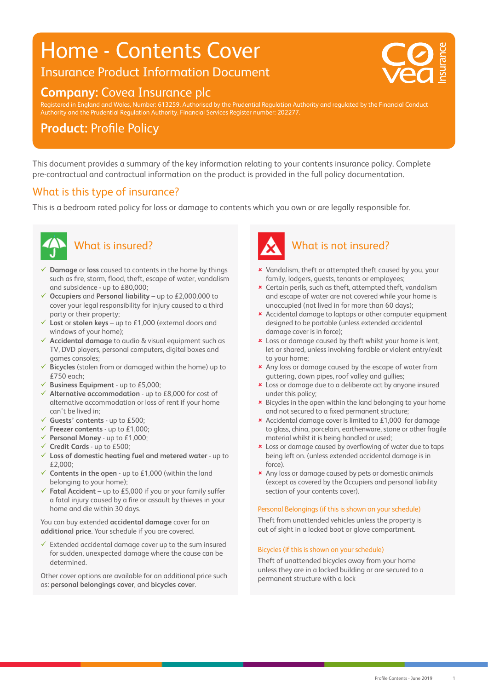## Home - Contents Cover

## Insurance Product Information Document

### **Company:** Covea Insurance plc

20 0 0 75 V : 20 0 75 V : 20 0 75 V : 20 0 75 V : 20 0 75 V : 20 0 75 V : 20 0 75 V : 20 0 75 V : 20 0 75 V :

Registered in England and Wales, Number: 613259. Authorised by the Prudential Regulation Authority and regulated by the Financial Conduct Authority and the Prudential Regulation Authority. Financial Services Register number: 202277.

## **Product: Profile Policy**

This document provides a summary of the key information relating to your contents insurance policy. Complete pre-contractual and contractual information on the product is provided in the full policy documentation.

#### What is this type of insurance?

This is a bedroom rated policy for loss or damage to contents which you own or are legally responsible for.



## What is insured?

- **Damage** or **loss** caused to contents in the home by things such as fire, storm, flood, theft, escape of water, vandalism and subsidence - up to £80,000;
- **Occupiers** and **Personal liability** up to £2,000,000 to cover your legal responsibility for injury caused to a third party or their property;
- **Lost** or **stolen keys** up to £1,000 (external doors and windows of your home);
- **Accidental damage** to audio & visual equipment such as TV, DVD players, personal computers, digital boxes and games consoles;
- **Bicycles** (stolen from or damaged within the home) up to £750 each;
- **Business Equipment** up to £5,000;
- **Alternative accommodation** up to £8,000 for cost of alternative accommodation or loss of rent if your home can't be lived in;
- **Guests' contents** up to £500;
- **Freezer contents** up to £1,000;
- **Personal Money** up to £1,000;
- **Credit Cards** up to £500;
- **Loss of domestic heating fuel and metered water** up to £2,000;
- **Contents in the open** up to £1,000 (within the land belonging to your home);
- **Fatal Accident** up to £5,000 if you or your family suffer a fatal injury caused by a fire or assault by thieves in your home and die within 30 days.

You can buy extended **accidental damage** cover for an **additional price**. Your schedule if you are covered.

 $\checkmark$  Extended accidental damage cover up to the sum insured for sudden, unexpected damage where the cause can be determined.

Other cover options are available for an additional price such as: **personal belongings cover**, and **bicycles cover**.



#### What is not insured?

- **x** Vandalism, theft or attempted theft caused by you, your family, lodgers, guests, tenants or employees;
- Certain perils, such as theft, attempted theft, vandalism and escape of water are not covered while your home is unoccupied (not lived in for more than 60 days);
- Accidental damage to laptops or other computer equipment designed to be portable (unless extended accidental damage cover is in force);
- **x** Loss or damage caused by theft whilst your home is lent, let or shared, unless involving forcible or violent entry/exit to your home;
- **\*** Any loss or damage caused by the escape of water from guttering, down pipes, roof valley and gullies;
- Loss or damage due to a deliberate act by anyone insured under this policy;
- Bicycles in the open within the land belonging to your home and not secured to a fixed permanent structure;
- Accidental damage cover is limited to £1,000 for damage to glass, china, porcelain, earthenware, stone or other fragile material whilst it is being handled or used;
- Loss or damage caused by overflowing of water due to taps being left on. (unless extended accidental damage is in force).
- **\*** Any loss or damage caused by pets or domestic animals (except as covered by the Occupiers and personal liability section of your contents cover).

#### Personal Belongings (if this is shown on your schedule)

Theft from unattended vehicles unless the property is out of sight in a locked boot or glove compartment.

#### Bicycles (if this is shown on your schedule)

Theft of unattended bicycles away from your home unless they are in a locked building or are secured to a permanent structure with a lock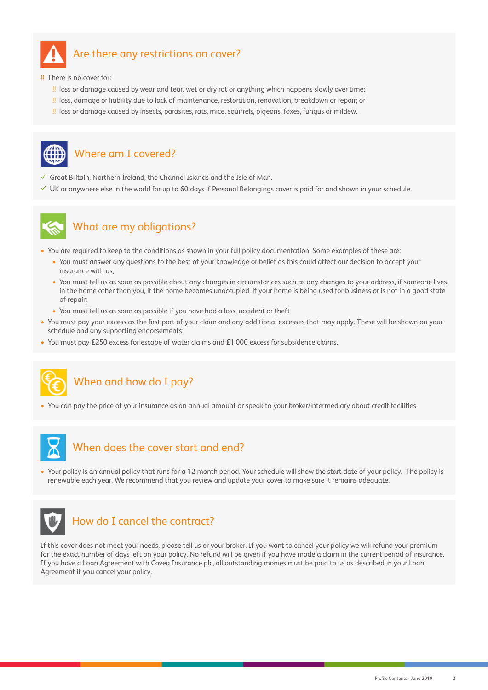

#### Are there any restrictions on cover?

!! There is no cover for:

- !! loss or damage caused by wear and tear, wet or dry rot or anything which happens slowly over time;
- !! loss, damage or liability due to lack of maintenance, restoration, renovation, breakdown or repair; or
- !! loss or damage caused by insects, parasites, rats, mice, squirrels, pigeons, foxes, fungus or mildew.



#### Where am I covered?

- $\checkmark$  Great Britain, Northern Ireland, the Channel Islands and the Isle of Man.
- $\checkmark$  UK or anywhere else in the world for up to 60 days if Personal Belongings cover is paid for and shown in your schedule.



#### What are my obligations?

- You are required to keep to the conditions as shown in your full policy documentation. Some examples of these are:
	- You must answer any questions to the best of your knowledge or belief as this could affect our decision to accept your insurance with us;
	- You must tell us as soon as possible about any changes in circumstances such as any changes to your address, if someone lives in the home other than you, if the home becomes unoccupied, if your home is being used for business or is not in a good state of repair;
	- You must tell us as soon as possible if you have had a loss, accident or theft
- You must pay your excess as the first part of your claim and any additional excesses that may apply. These will be shown on your schedule and any supporting endorsements;
- You must pay £250 excess for escape of water claims and £1,000 excess for subsidence claims.



#### When and how do I pay?

• You can pay the price of your insurance as an annual amount or speak to your broker/intermediary about credit facilities.



#### When does the cover start and end?

• Your policy is an annual policy that runs for a 12 month period. Your schedule will show the start date of your policy. The policy is renewable each year. We recommend that you review and update your cover to make sure it remains adequate.



#### How do I cancel the contract?

If this cover does not meet your needs, please tell us or your broker. If you want to cancel your policy we will refund your premium for the exact number of days left on your policy. No refund will be given if you have made a claim in the current period of insurance. If you have a Loan Agreement with Covea Insurance plc, all outstanding monies must be paid to us as described in your Loan Agreement if you cancel your policy.